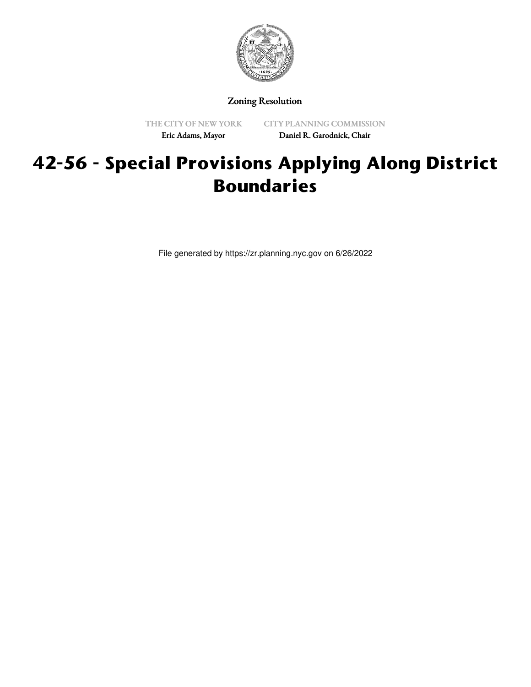

Zoning Resolution

THE CITY OF NEW YORK Eric Adams, Mayor

CITY PLANNING COMMISSION Daniel R. Garodnick, Chair

# **42-56 - Special Provisions Applying Along District Boundaries**

File generated by https://zr.planning.nyc.gov on 6/26/2022